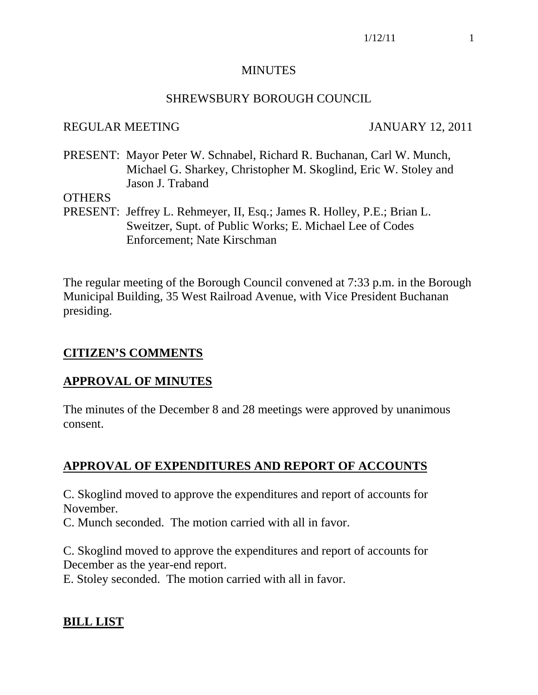#### MINUTES

#### SHREWSBURY BOROUGH COUNCIL

#### REGULAR MEETING JANUARY 12, 2011

PRESENT: Mayor Peter W. Schnabel, Richard R. Buchanan, Carl W. Munch, Michael G. Sharkey, Christopher M. Skoglind, Eric W. Stoley and Jason J. Traband

#### **OTHERS**

PRESENT: Jeffrey L. Rehmeyer, II, Esq.; James R. Holley, P.E.; Brian L. Sweitzer, Supt. of Public Works; E. Michael Lee of Codes Enforcement; Nate Kirschman

The regular meeting of the Borough Council convened at 7:33 p.m. in the Borough Municipal Building, 35 West Railroad Avenue, with Vice President Buchanan presiding.

#### **CITIZEN'S COMMENTS**

#### **APPROVAL OF MINUTES**

The minutes of the December 8 and 28 meetings were approved by unanimous consent.

## **APPROVAL OF EXPENDITURES AND REPORT OF ACCOUNTS**

C. Skoglind moved to approve the expenditures and report of accounts for November.

C. Munch seconded. The motion carried with all in favor.

C. Skoglind moved to approve the expenditures and report of accounts for December as the year-end report.

E. Stoley seconded. The motion carried with all in favor.

## **BILL LIST**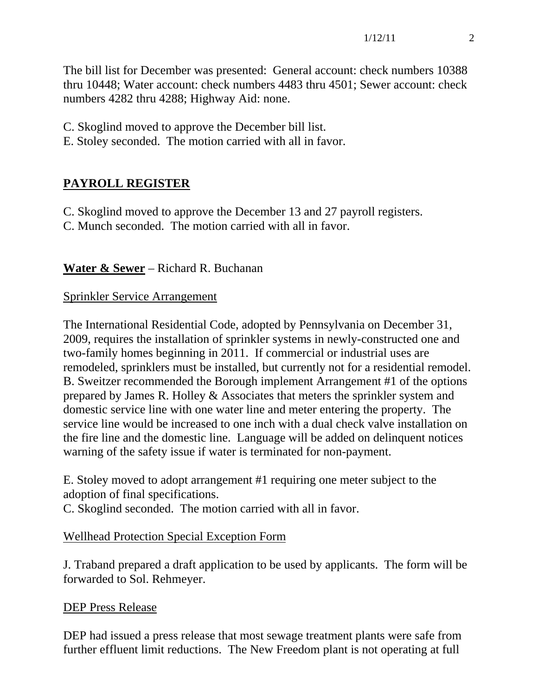The bill list for December was presented: General account: check numbers 10388 thru 10448; Water account: check numbers 4483 thru 4501; Sewer account: check numbers 4282 thru 4288; Highway Aid: none.

C. Skoglind moved to approve the December bill list.

E. Stoley seconded. The motion carried with all in favor.

# **PAYROLL REGISTER**

C. Skoglind moved to approve the December 13 and 27 payroll registers.

C. Munch seconded. The motion carried with all in favor.

## **Water & Sewer** – Richard R. Buchanan

## Sprinkler Service Arrangement

The International Residential Code, adopted by Pennsylvania on December 31, 2009, requires the installation of sprinkler systems in newly-constructed one and two-family homes beginning in 2011. If commercial or industrial uses are remodeled, sprinklers must be installed, but currently not for a residential remodel. B. Sweitzer recommended the Borough implement Arrangement #1 of the options prepared by James R. Holley & Associates that meters the sprinkler system and domestic service line with one water line and meter entering the property. The service line would be increased to one inch with a dual check valve installation on the fire line and the domestic line. Language will be added on delinquent notices warning of the safety issue if water is terminated for non-payment.

E. Stoley moved to adopt arrangement #1 requiring one meter subject to the adoption of final specifications.

C. Skoglind seconded. The motion carried with all in favor.

## Wellhead Protection Special Exception Form

J. Traband prepared a draft application to be used by applicants. The form will be forwarded to Sol. Rehmeyer.

## DEP Press Release

DEP had issued a press release that most sewage treatment plants were safe from further effluent limit reductions. The New Freedom plant is not operating at full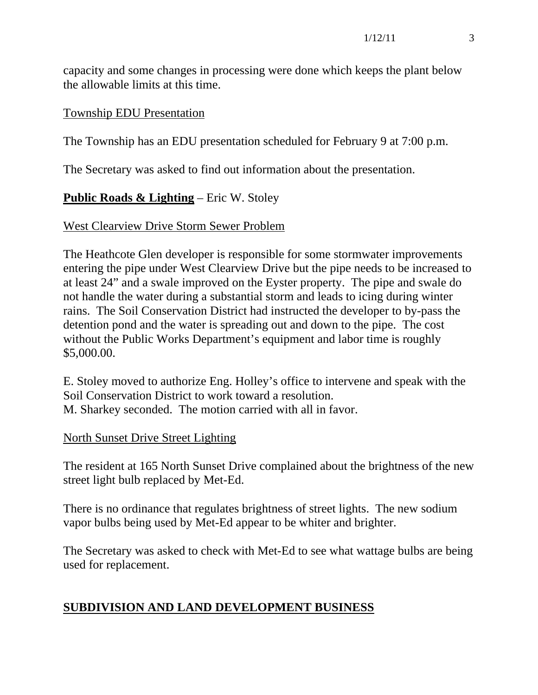capacity and some changes in processing were done which keeps the plant below the allowable limits at this time.

#### Township EDU Presentation

The Township has an EDU presentation scheduled for February 9 at 7:00 p.m.

The Secretary was asked to find out information about the presentation.

## **Public Roads & Lighting** – Eric W. Stoley

#### West Clearview Drive Storm Sewer Problem

The Heathcote Glen developer is responsible for some stormwater improvements entering the pipe under West Clearview Drive but the pipe needs to be increased to at least 24" and a swale improved on the Eyster property. The pipe and swale do not handle the water during a substantial storm and leads to icing during winter rains. The Soil Conservation District had instructed the developer to by-pass the detention pond and the water is spreading out and down to the pipe. The cost without the Public Works Department's equipment and labor time is roughly \$5,000.00.

E. Stoley moved to authorize Eng. Holley's office to intervene and speak with the Soil Conservation District to work toward a resolution. M. Sharkey seconded. The motion carried with all in favor.

#### North Sunset Drive Street Lighting

The resident at 165 North Sunset Drive complained about the brightness of the new street light bulb replaced by Met-Ed.

There is no ordinance that regulates brightness of street lights. The new sodium vapor bulbs being used by Met-Ed appear to be whiter and brighter.

The Secretary was asked to check with Met-Ed to see what wattage bulbs are being used for replacement.

#### **SUBDIVISION AND LAND DEVELOPMENT BUSINESS**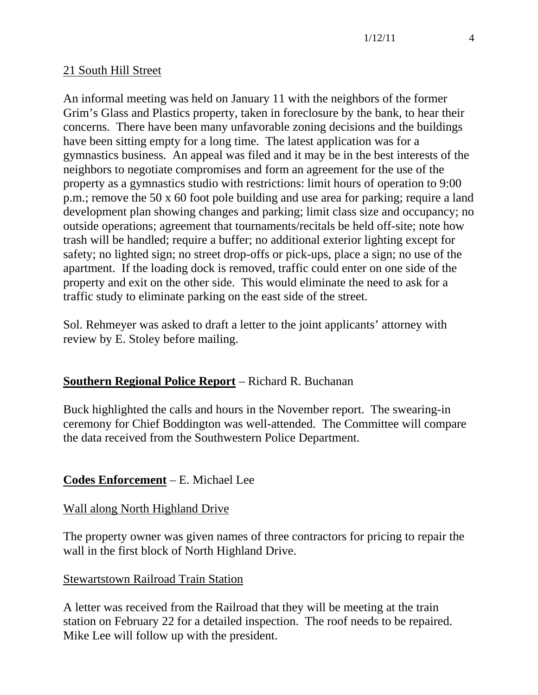#### 21 South Hill Street

An informal meeting was held on January 11 with the neighbors of the former Grim's Glass and Plastics property, taken in foreclosure by the bank, to hear their concerns. There have been many unfavorable zoning decisions and the buildings have been sitting empty for a long time. The latest application was for a gymnastics business. An appeal was filed and it may be in the best interests of the neighbors to negotiate compromises and form an agreement for the use of the property as a gymnastics studio with restrictions: limit hours of operation to 9:00 p.m.; remove the 50 x 60 foot pole building and use area for parking; require a land development plan showing changes and parking; limit class size and occupancy; no outside operations; agreement that tournaments/recitals be held off-site; note how trash will be handled; require a buffer; no additional exterior lighting except for safety; no lighted sign; no street drop-offs or pick-ups, place a sign; no use of the apartment. If the loading dock is removed, traffic could enter on one side of the property and exit on the other side. This would eliminate the need to ask for a traffic study to eliminate parking on the east side of the street.

Sol. Rehmeyer was asked to draft a letter to the joint applicants' attorney with review by E. Stoley before mailing.

## **Southern Regional Police Report** – Richard R. Buchanan

Buck highlighted the calls and hours in the November report. The swearing-in ceremony for Chief Boddington was well-attended. The Committee will compare the data received from the Southwestern Police Department.

## **Codes Enforcement** – E. Michael Lee

#### Wall along North Highland Drive

The property owner was given names of three contractors for pricing to repair the wall in the first block of North Highland Drive.

#### Stewartstown Railroad Train Station

A letter was received from the Railroad that they will be meeting at the train station on February 22 for a detailed inspection. The roof needs to be repaired. Mike Lee will follow up with the president.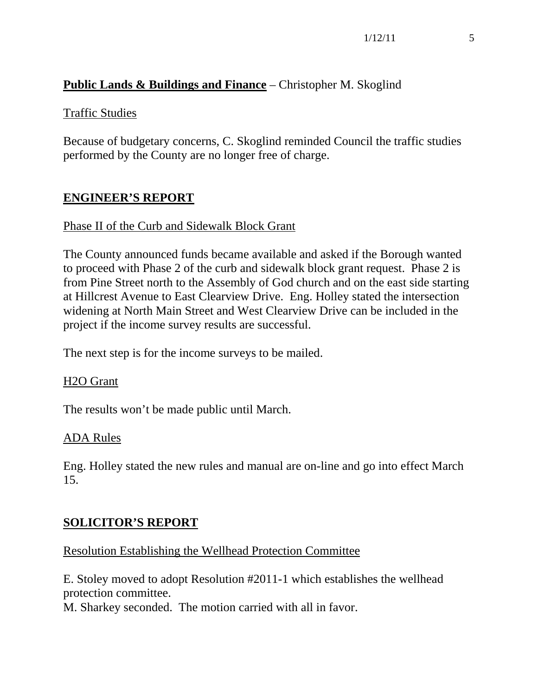## **Public Lands & Buildings and Finance** – Christopher M. Skoglind

#### Traffic Studies

Because of budgetary concerns, C. Skoglind reminded Council the traffic studies performed by the County are no longer free of charge.

## **ENGINEER'S REPORT**

#### Phase II of the Curb and Sidewalk Block Grant

The County announced funds became available and asked if the Borough wanted to proceed with Phase 2 of the curb and sidewalk block grant request. Phase 2 is from Pine Street north to the Assembly of God church and on the east side starting at Hillcrest Avenue to East Clearview Drive. Eng. Holley stated the intersection widening at North Main Street and West Clearview Drive can be included in the project if the income survey results are successful.

The next step is for the income surveys to be mailed.

#### H2O Grant

The results won't be made public until March.

#### ADA Rules

Eng. Holley stated the new rules and manual are on-line and go into effect March 15.

#### **SOLICITOR'S REPORT**

#### Resolution Establishing the Wellhead Protection Committee

E. Stoley moved to adopt Resolution #2011-1 which establishes the wellhead protection committee.

M. Sharkey seconded. The motion carried with all in favor.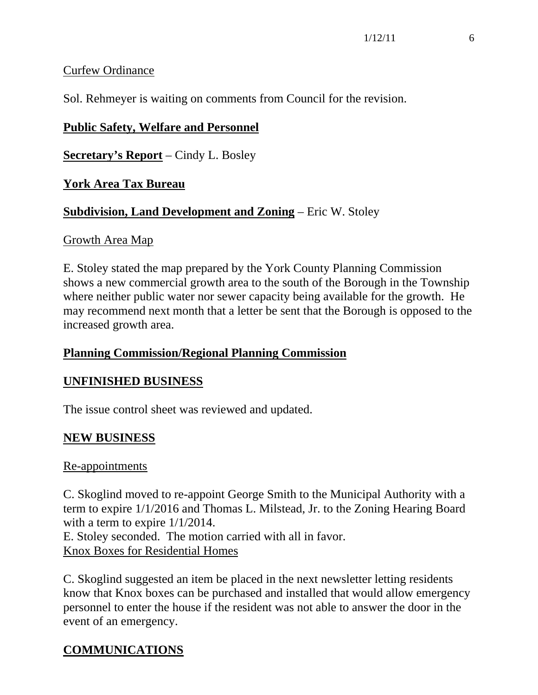## Curfew Ordinance

Sol. Rehmeyer is waiting on comments from Council for the revision.

## **Public Safety, Welfare and Personnel**

**Secretary's Report** – Cindy L. Bosley

## **York Area Tax Bureau**

## **Subdivision, Land Development and Zoning** – Eric W. Stoley

#### Growth Area Map

E. Stoley stated the map prepared by the York County Planning Commission shows a new commercial growth area to the south of the Borough in the Township where neither public water nor sewer capacity being available for the growth. He may recommend next month that a letter be sent that the Borough is opposed to the increased growth area.

## **Planning Commission/Regional Planning Commission**

## **UNFINISHED BUSINESS**

The issue control sheet was reviewed and updated.

## **NEW BUSINESS**

## Re-appointments

C. Skoglind moved to re-appoint George Smith to the Municipal Authority with a term to expire 1/1/2016 and Thomas L. Milstead, Jr. to the Zoning Hearing Board with a term to expire 1/1/2014.

E. Stoley seconded. The motion carried with all in favor. Knox Boxes for Residential Homes

C. Skoglind suggested an item be placed in the next newsletter letting residents know that Knox boxes can be purchased and installed that would allow emergency personnel to enter the house if the resident was not able to answer the door in the event of an emergency.

# **COMMUNICATIONS**